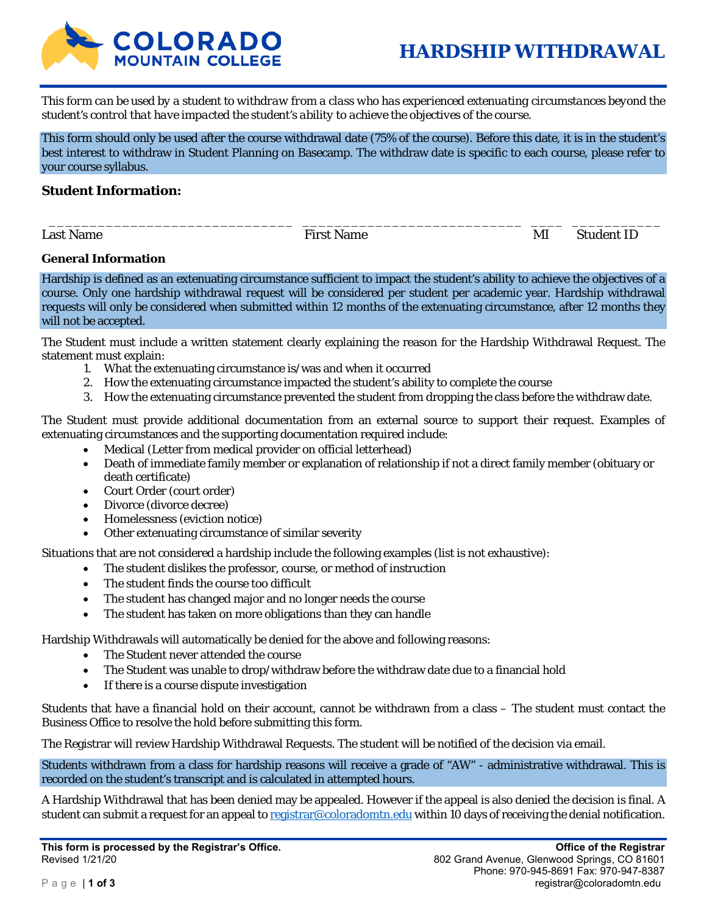

*This form can be used by a student to withdraw from a class who has experienced extenuating circumstances beyond the student's control that have impacted the student's ability to achieve the objectives of the course.* 

This form should only be used after the course withdrawal date (75% of the course). Before this date, it is in the student's best interest to withdraw in Student Planning on Basecamp. The withdraw date is specific to each course, please refer to your course syllabus.

\_\_\_\_\_\_\_\_\_\_\_\_\_\_\_\_\_\_\_\_\_\_\_\_\_\_\_\_\_\_ \_\_\_\_\_\_\_\_\_\_\_\_\_\_\_\_\_\_\_\_\_\_\_\_\_\_\_ \_\_\_\_ \_\_\_\_\_\_\_\_\_\_\_

#### **Student Information:**

Last Name The Student ID Research Student ID Research Student ID Research Student ID

#### **General Information**

Hardship is defined as an extenuating circumstance sufficient to impact the student's ability to achieve the objectives of a course. Only one hardship withdrawal request will be considered per student per academic year. Hardship withdrawal requests will only be considered when submitted within 12 months of the extenuating circumstance, after 12 months they will not be accepted.

The Student must include a written statement clearly explaining the reason for the Hardship Withdrawal Request. The statement must explain:

- 1. What the extenuating circumstance is/was and when it occurred
- 2. How the extenuating circumstance impacted the student's ability to complete the course
- 3. How the extenuating circumstance prevented the student from dropping the class before the withdraw date.

The Student must provide additional documentation from an external source to support their request. Examples of extenuating circumstances and the supporting documentation required include:

- Medical (Letter from medical provider on official letterhead)
- Death of immediate family member or explanation of relationship if not a direct family member (obituary or death certificate)
- Court Order (court order)
- Divorce (divorce decree)
- Homelessness (eviction notice)
- Other extenuating circumstance of similar severity

Situations that are not considered a hardship include the following examples (list is not exhaustive):

- The student dislikes the professor, course, or method of instruction
- The student finds the course too difficult
- The student has changed major and no longer needs the course
- The student has taken on more obligations than they can handle

Hardship Withdrawals will automatically be denied for the above and following reasons:

- The Student never attended the course
- The Student was unable to drop/withdraw before the withdraw date due to a financial hold
- If there is a course dispute investigation

Students that have a financial hold on their account, cannot be withdrawn from a class – The student must contact the Business Office to resolve the hold before submitting this form.

The Registrar will review Hardship Withdrawal Requests. The student will be notified of the decision via email.

Students withdrawn from a class for hardship reasons will receive a grade of "AW" - administrative withdrawal. This is recorded on the student's transcript and is calculated in attempted hours.

A Hardship Withdrawal that has been denied may be appealed. However if the appeal is also denied the decision is final. A student can submit a request for an appeal to registrar@coloradomtn.edu within 10 days of receiving the denial notification.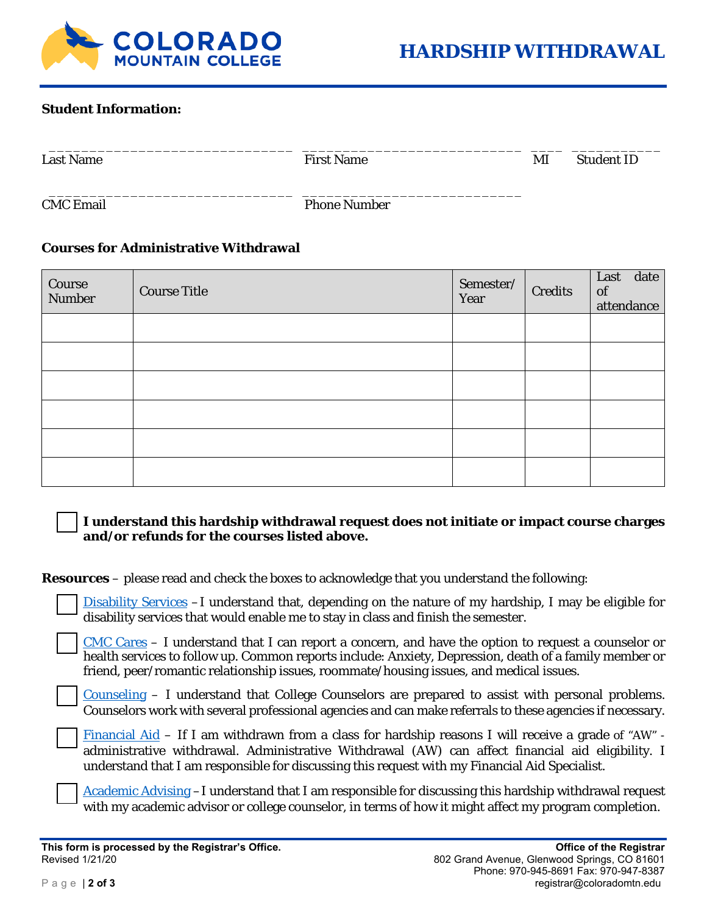

## **Student Information:**

| <b>Last Name</b> | <b>First Name</b>   | MI | <b>Student ID</b> |
|------------------|---------------------|----|-------------------|
| <b>CMC</b> Email | <b>Phone Number</b> |    |                   |

## **Courses for Administrative Withdrawal**

| Course<br><b>Number</b> | <b>Course Title</b> | Semester/<br>Year | <b>Credits</b> | Last date<br>of<br>attendance |
|-------------------------|---------------------|-------------------|----------------|-------------------------------|
|                         |                     |                   |                |                               |
|                         |                     |                   |                |                               |
|                         |                     |                   |                |                               |
|                         |                     |                   |                |                               |
|                         |                     |                   |                |                               |
|                         |                     |                   |                |                               |

## **I understand this hardship withdrawal request does not initiate or impact course charges and/or refunds for the courses listed above.**

**Resources** – please read and check the boxes to acknowledge that you understand the following:

Disability Services -I understand that, depending on the nature of my hardship, I may be eligible for disability services that would enable me to stay in class and finish the semester.

CMC Cares – I understand that I can report a concern, and have the option to request a counselor or health services to follow up. Common reports include: Anxiety, Depression, death of a family member or friend, peer/romantic relationship issues, roommate/housing issues, and medical issues.

 $\frac{Counseling - I}{T}$  understand that College Counselors are prepared to assist with personal problems. Counselors work with several professional agencies and can make referrals to these agencies if necessary.

Financial Aid – If I am withdrawn from a class for hardship reasons I will receive a grade of "AW" administrative withdrawal. Administrative Withdrawal (AW) can affect financial aid eligibility. I understand that I am responsible for discussing this request with my Financial Aid Specialist.

Academic Advising –I understand that I am responsible for discussing this hardship withdrawal request with my academic advisor or college counselor, in terms of how it might affect my program completion.

**This form is processed by the Registrar's Office. Office of the Registrar**  Revised 1/21/20 **Revised 1/21/20 802 Grand Avenue, Glenwood Springs, CO 81601**